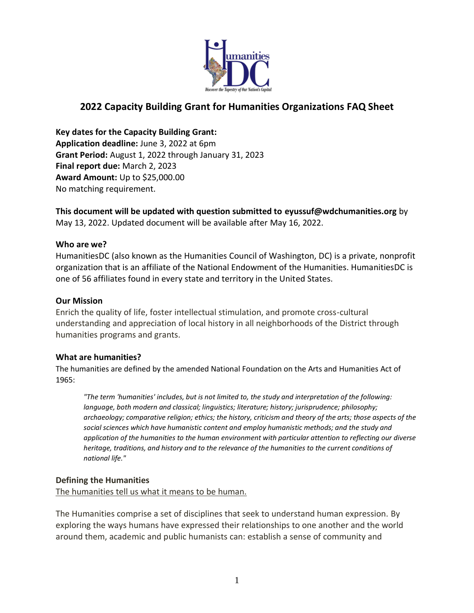

# **2022 Capacity Building Grant for Humanities Organizations FAQ Sheet**

**Key dates for the Capacity Building Grant: Application deadline:** June 3, 2022 at 6pm **Grant Period:** August 1, 2022 through January 31, 2023 **Final report due:** March 2, 2023 **Award Amount:** Up to \$25,000.00 No matching requirement.

**This document will be updated with question submitted to eyussuf@wdchumanities.org** by May 13, 2022. Updated document will be available after May 16, 2022.

#### **Who are we?**

HumanitiesDC (also known as the Humanities Council of Washington, DC) is a private, nonprofit organization that is an affiliate of the National Endowment of the Humanities. HumanitiesDC is one of 56 affiliates found in every state and territory in the United States.

#### **Our Mission**

Enrich the quality of life, foster intellectual stimulation, and promote cross-cultural understanding and appreciation of local history in all neighborhoods of the District through humanities programs and grants.

#### **What are humanities?**

The humanities are defined by the amended National Foundation on the Arts and Humanities Act of 1965:

*"The term 'humanities' includes, but is not limited to, the study and interpretation of the following: language, both modern and classical; linguistics; literature; history; jurisprudence; philosophy; archaeology; comparative religion; ethics; the history, criticism and theory of the arts; those aspects of the social sciences which have humanistic content and employ humanistic methods; and the study and application of the humanities to the human environment with particular attention to reflecting our diverse heritage, traditions, and history and to the relevance of the humanities to the current conditions of national life."*

#### **Defining the Humanities**

The humanities tell us what it means to be human.

The Humanities comprise a set of disciplines that seek to understand human expression. By exploring the ways humans have expressed their relationships to one another and the world around them, academic and public humanists can: establish a sense of community and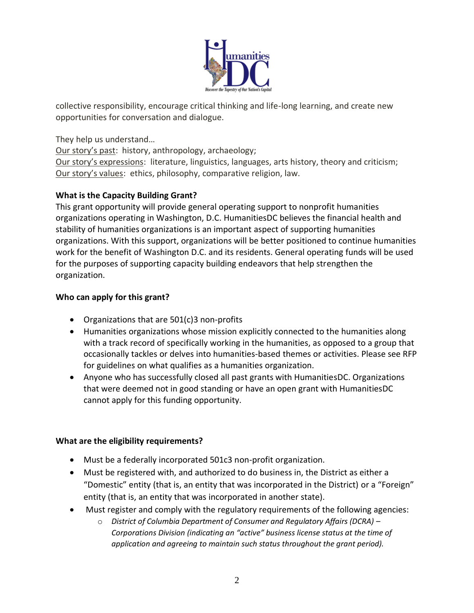

collective responsibility, encourage critical thinking and life-long learning, and create new opportunities for conversation and dialogue.

They help us understand…

Our story's past: history, anthropology, archaeology;

Our story's expressions: literature, linguistics, languages, arts history, theory and criticism; Our story's values: ethics, philosophy, comparative religion, law.

### **What is the Capacity Building Grant?**

This grant opportunity will provide general operating support to nonprofit humanities organizations operating in Washington, D.C. HumanitiesDC believes the financial health and stability of humanities organizations is an important aspect of supporting humanities organizations. With this support, organizations will be better positioned to continue humanities work for the benefit of Washington D.C. and its residents. General operating funds will be used for the purposes of supporting capacity building endeavors that help strengthen the organization.

### **Who can apply for this grant?**

- Organizations that are 501(c)3 non-profits
- Humanities organizations whose mission explicitly connected to the humanities along with a track record of specifically working in the humanities, as opposed to a group that occasionally tackles or delves into humanities-based themes or activities. Please see RFP for guidelines on what qualifies as a humanities organization.
- Anyone who has successfully closed all past grants with HumanitiesDC. Organizations that were deemed not in good standing or have an open grant with HumanitiesDC cannot apply for this funding opportunity.

#### **What are the eligibility requirements?**

- Must be a federally incorporated 501c3 non-profit organization.
- Must be registered with, and authorized to do business in, the District as either a "Domestic" entity (that is, an entity that was incorporated in the District) or a "Foreign" entity (that is, an entity that was incorporated in another state).
- Must register and comply with the regulatory requirements of the following agencies:
	- o *District of Columbia Department of Consumer and Regulatory Affairs (DCRA) – Corporations Division (indicating an "active" business license status at the time of application and agreeing to maintain such status throughout the grant period).*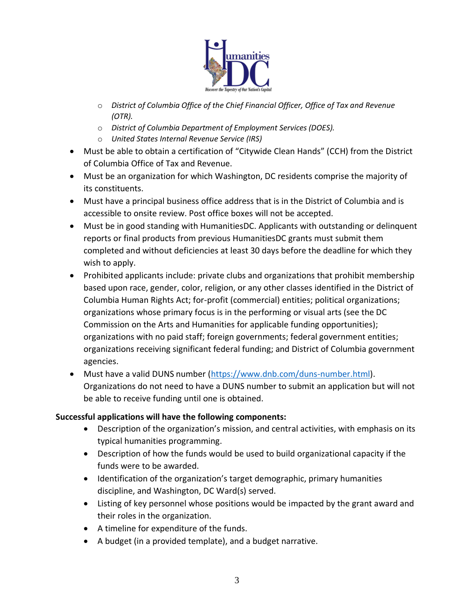

- o *District of Columbia Office of the Chief Financial Officer, Office of Tax and Revenue (OTR).*
- o *District of Columbia Department of Employment Services (DOES).*
- o *United States Internal Revenue Service (IRS)*
- Must be able to obtain a certification of "Citywide Clean Hands" (CCH) from the District of Columbia Office of Tax and Revenue.
- Must be an organization for which Washington, DC residents comprise the majority of its constituents.
- Must have a principal business office address that is in the District of Columbia and is accessible to onsite review. Post office boxes will not be accepted.
- Must be in good standing with HumanitiesDC. Applicants with outstanding or delinquent reports or final products from previous HumanitiesDC grants must submit them completed and without deficiencies at least 30 days before the deadline for which they wish to apply.
- Prohibited applicants include: private clubs and organizations that prohibit membership based upon race, gender, color, religion, or any other classes identified in the District of Columbia Human Rights Act; for-profit (commercial) entities; political organizations; organizations whose primary focus is in the performing or visual arts (see the DC Commission on the Arts and Humanities for applicable funding opportunities); organizations with no paid staff; foreign governments; federal government entities; organizations receiving significant federal funding; and District of Columbia government agencies.
- Must have a valid DUNS number [\(https://www.dnb.com/duns-number.html\)](https://www.dnb.com/duns-number.html). Organizations do not need to have a DUNS number to submit an application but will not be able to receive funding until one is obtained.

## **Successful applications will have the following components:**

- Description of the organization's mission, and central activities, with emphasis on its typical humanities programming.
- Description of how the funds would be used to build organizational capacity if the funds were to be awarded.
- Identification of the organization's target demographic, primary humanities discipline, and Washington, DC Ward(s) served.
- Listing of key personnel whose positions would be impacted by the grant award and their roles in the organization.
- A timeline for expenditure of the funds.
- A budget (in a provided template), and a budget narrative.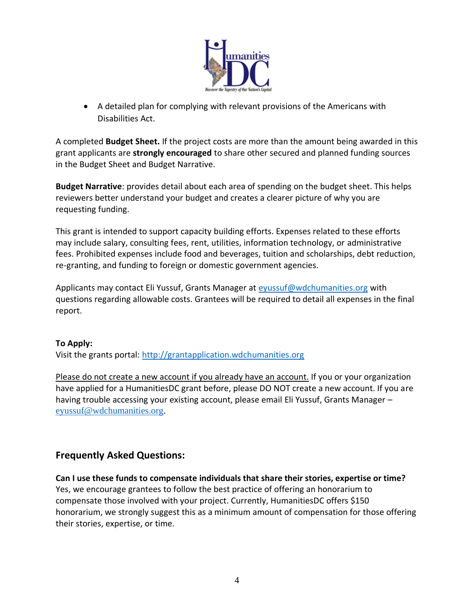

• A detailed plan for complying with relevant provisions of the Americans with Disabilities Act.

A completed **Budget Sheet.** If the project costs are more than the amount being awarded in this grant applicants are **strongly encouraged** to share other secured and planned funding sources in the Budget Sheet and Budget Narrative.

**Budget Narrative**: provides detail about each area of spending on the budget sheet. This helps reviewers better understand your budget and creates a clearer picture of why you are requesting funding.

This grant is intended to support capacity building efforts. Expenses related to these efforts may include salary, consulting fees, rent, utilities, information technology, or administrative fees. Prohibited expenses include food and beverages, tuition and scholarships, debt reduction, re-granting, and funding to foreign or domestic government agencies.

Applicants may contact Eli Yussuf, Grants Manager at [eyussuf@wdchumanities.org](mailto:eyussuf@wdchumanities.org) with questions regarding allowable costs. Grantees will be required to detail all expenses in the final report.

#### **To Apply:**

Visit the grants portal: [http://grantapplication.wdchumanities.org](http://grantapplication.wdchumanities.org/)

Please do not create a new account if you already have an account. If you or your organization have applied for a HumanitiesDC grant before, please DO NOT create a new account. If you are having trouble accessing your existing account, please email Eli Yussuf, Grants Manager – [eyussuf@wdchumanities.org.](mailto:eyussuf@wdchumanities.org)

## **Frequently Asked Questions:**

**Can I use these funds to compensate individuals that share their stories, expertise or time?** Yes, we encourage grantees to follow the best practice of offering an honorarium to compensate those involved with your project. Currently, HumanitiesDC offers \$150 honorarium, we strongly suggest this as a minimum amount of compensation for those offering their stories, expertise, or time.